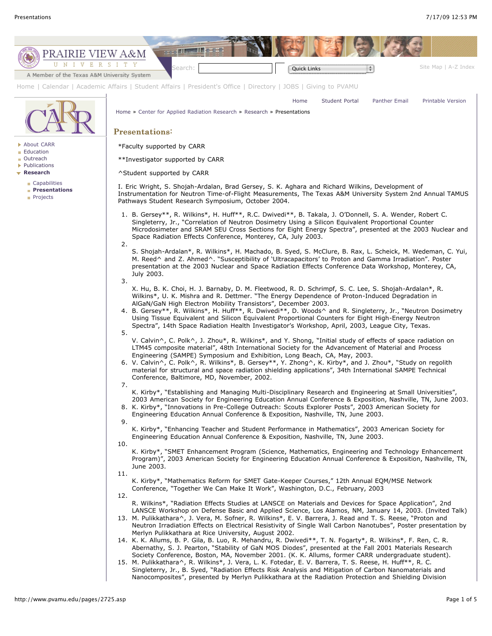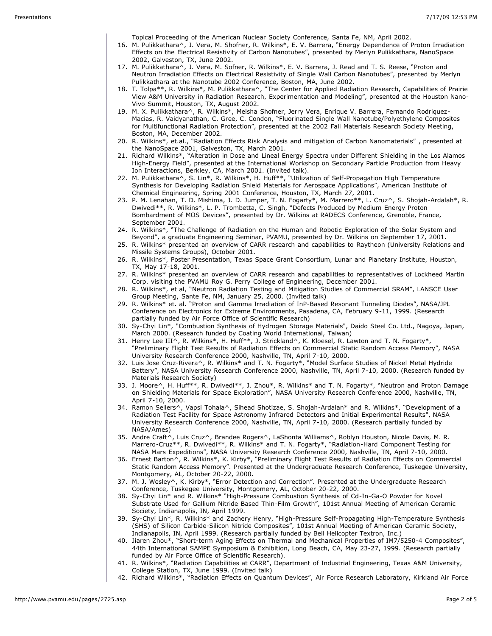Topical Proceeding of the American Nuclear Society Conference, Santa Fe, NM, April 2002.

- 16. M. Pulikkathara^, J. Vera, M. Shofner, R. Wilkins\*, E. V. Barrera, "Energy Dependence of Proton Irradiation Effects on the Electrical Resistivity of Carbon Nanotubes", presented by Merlyn Pulikkathara, NanoSpace 2002, Galveston, TX, June 2002.
- 17. M. Pulikkathara^, J. Vera, M. Sofner, R. Wilkins\*, E. V. Barrera, J. Read and T. S. Reese, "Proton and Neutron Irradiation Effects on Electrical Resistivity of Single Wall Carbon Nanotubes", presented by Merlyn Pulikkathara at the Nanotube 2002 Conference, Boston, MA, June 2002.
- 18. T. Tolpa\*\*, R. Wilkins\*, M. Pulikkathara^, "The Center for Applied Radiation Research, Capabilities of Prairie View A&M University in Radiation Research, Experimentation and Modeling", presented at the Houston Nano-Vivo Summit, Houston, TX, August 2002.
- 19. M. X. Pulikkathara^, R. Wilkins\*, Meisha Shofner, Jerry Vera, Enrique V. Barrera, Fernando Rodriquez-Macias, R. Vaidyanathan, C. Gree, C. Condon, "Fluorinated Single Wall Nanotube/Polyethylene Composites for Multifunctional Radiation Protection", presented at the 2002 Fall Materials Research Society Meeting, Boston, MA, December 2002.
- 20. R. Wilkins\*, et.al., "Radiation Effects Risk Analysis and mitigation of Carbon Nanomaterials" , presented at the NanoSpace 2001, Galveston, TX, March 2001.
- 21. Richard Wilkins\*, "Alteration in Dose and Lineal Energy Spectra under Different Shielding in the Los Alamos High-Energy Field", presented at the International Workshop on Secondary Particle Production from Heavy Ion Interactions, Berkley, CA, March 2001. (Invited talk).
- 22. M. Pulikkathara^, S. Lin\*, R. Wilkins\*, H. Huff\*\*, "Utilization of Self-Propagation High Temperature Synthesis for Developing Radiation Shield Materials for Aerospace Applications", American Institute of Chemical Engineering, Spring 2001 Conference, Houston, TX, March 27, 2001.
- 23. P. M. Lenahan, T. D. Mishima, J. D. Jumper, T. N. Fogarty\*, M. Marrero\*\*, L. Cruz^, S. Shojah-Ardalah\*, R. Dwivedi\*\*, R. Wilkins\*, L. P. Trombetta, C. Singh, "Defects Produced by Medium Energy Proton Bombardment of MOS Devices", presented by Dr. Wilkins at RADECS Conference, Grenoble, France, September 2001.
- 24. R. Wilkins\*, "The Challenge of Radiation on the Human and Robotic Exploration of the Solar System and Beyond", a graduate Engineering Seminar, PVAMU, presented by Dr. Wilkins on September 17, 2001.
- 25. R. Wilkins\* presented an overview of CARR research and capabilities to Raytheon (University Relations and Missile Systems Groups), October 2001.
- 26. R. Wilkins\*, Poster Presentation, Texas Space Grant Consortium, Lunar and Planetary Institute, Houston, TX, May 17-18, 2001.
- 27. R. Wilkins\* presented an overview of CARR research and capabilities to representatives of Lockheed Martin Corp. visiting the PVAMU Roy G. Perry College of Engineering, December 2001.
- 28. R. Wilkins\*, et al, "Neutron Radiation Testing and Mitigation Studies of Commercial SRAM", LANSCE User Group Meeting, Sante Fe, NM, January 25, 2000. (Invited talk)
- 29. R. Wilkins\* et. al. "Proton and Gamma Irradiation of InP-Based Resonant Tunneling Diodes", NASA/JPL Conference on Electronics for Extreme Environments, Pasadena, CA, February 9-11, 1999. (Research partially funded by Air Force Office of Scientific Research)
- 30. Sy-Chyi Lin\*, "Combustion Synthesis of Hydrogen Storage Materials", Daido Steel Co. Ltd., Nagoya, Japan, March 2000. (Research funded by Coating World International, Taiwan)
- 31. Henry Lee III^, R. Wilkins\*, H. Huff\*\*, J. Strickland^, K. Kloesel, R. Lawton and T. N. Fogarty\*, "Preliminary Flight Test Results of Radiation Effects on Commercial Static Random Access Memory", NASA University Research Conference 2000, Nashville, TN, April 7-10, 2000.
- 32. Luis Jose Cruz-Rivera^, R. Wilkins\* and T. N. Fogarty\*, "Model Surface Studies of Nickel Metal Hydride Battery", NASA University Research Conference 2000, Nashville, TN, April 7-10, 2000. (Research funded by Materials Research Society)
- 33. J. Moore^, H. Huff\*\*, R. Dwivedi\*\*, J. Zhou\*, R. Wilkins\* and T. N. Fogarty\*, "Neutron and Proton Damage on Shielding Materials for Space Exploration", NASA University Research Conference 2000, Nashville, TN, April 7-10, 2000.
- 34. Ramon Sellers^, Vapsi Tohala^, Sihead Shotizae, S. Shojah-Ardalan\* and R. Wilkins\*, "Development of a Radiation Test Facility for Space Astronomy Infrared Detectors and Initial Experimental Results", NASA University Research Conference 2000, Nashville, TN, April 7-10, 2000. (Research partially funded by NASA/Ames)
- 35. Andre Craft^, Luis Cruz^, Brandee Rogers^, LaShonta Williams^, Roblyn Houston, Nicole Davis, M. R. Marrero-Cruz\*\*, R. Dwivedi\*\*, R. Wilkins\* and T. N. Fogarty\*, "Radiation-Hard Component Testing for NASA Mars Expeditions", NASA University Research Conference 2000, Nashville, TN, April 7-10, 2000.
- 36. Ernest Barton^, R. Wilkins\*, K. Kirby\*, "Preliminary Flight Test Results of Radiation Effects on Commercial Static Random Access Memory". Presented at the Undergraduate Research Conference, Tuskegee University, Montgomery, AL, October 20-22, 2000.
- 37. M. J. Wesley^, K. Kirby\*, "Error Detection and Correction". Presented at the Undergraduate Research Conference, Tuskegee University, Montgomery, AL, October 20-22, 2000.
- 38. Sy-Chyi Lin\* and R. Wilkins\* "High-Pressure Combustion Synthesis of Cd-In-Ga-O Powder for Novel Substrate Used for Gallium Nitride Based Thin-Film Growth", 101st Annual Meeting of American Ceramic Society, Indianapolis, IN, April 1999.
- 39. Sy-Chyi Lin\*, R. Wilkins\* and Zachery Henry, "High-Pressure Self-Propagating High-Temperature Synthesis (SHS) of Silicon Carbide-Silicon Nitride Composites", 101st Annual Meeting of American Ceramic Society, Indianapolis, IN, April 1999. (Research partially funded by Bell Helicopter Textron, Inc.)
- 40. Jiaren Zhou\*, "Short-term Aging Effects on Thermal and Mechanical Properties of IM7/5250-4 Composites", 44th International SAMPE Symposium & Exhibition, Long Beach, CA, May 23-27, 1999. (Research partially funded by Air Force Office of Scientific Research).
- 41. R. Wilkins\*, "Radiation Capabilities at CARR", Department of Industrial Engineering, Texas A&M University, College Station, TX, June 1999. (Invited talk)
- 42. Richard Wilkins\*, "Radiation Effects on Quantum Devices", Air Force Research Laboratory, Kirkland Air Force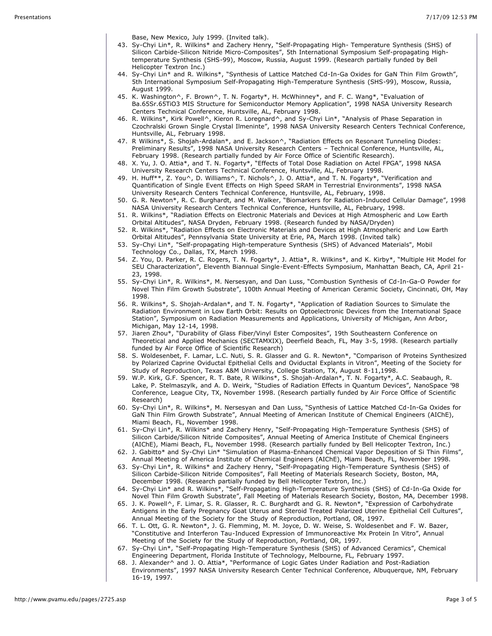Base, New Mexico, July 1999. (Invited talk).

- 43. Sy-Chyi Lin\*, R. Wilkins\* and Zachery Henry, "Self-Propagating High- Temperature Synthesis (SHS) of Silicon Carbide-Silicon Nitride Micro-Composites", 5th International Symposium Self-propagating Hightemperature Synthesis (SHS-99), Moscow, Russia, August 1999. (Research partially funded by Bell Helicopter Textron Inc.)
- 44. Sy-Chyi Lin\* and R. Wilkins\*, "Synthesis of Lattice Matched Cd-In-Ga Oxides for GaN Thin Film Growth", 5th International Symposium Self-Propagating High-Temperature Synthesis (SHS-99), Moscow, Russia, August 1999.
- 45. K. Washington^, F. Brown^, T. N. Fogarty\*, H. McWhinney\*, and F. C. Wang\*, "Evaluation of Ba.65Sr.65TiO3 MIS Structure for Semiconductor Memory Application", 1998 NASA University Research Centers Technical Conference, Huntsville, AL, February 1998.
- 46. R. Wilkins\*, Kirk Powell^, Kieron R. Loregnard^, and Sy-Chyi Lin\*, "Analysis of Phase Separation in Czochralski Grown Single Crystal Ilmeninte", 1998 NASA University Research Centers Technical Conference, Huntsville, AL, February 1998.
- 47. R Wilkins\*, S. Shojah-Ardalan\*, and E. Jackson^, "Radiation Effects on Resonant Tunneling Diodes: Preliminary Results", 1998 NASA University Research Centers – Technical Conference, Huntsville, AL, February 1998. (Research partially funded by Air Force Office of Scientific Research).
- 48. X. Yu, J. O. Attia\*, and T. N. Fogarty\*, "Effects of Total Dose Radiation on Actel FPGA", 1998 NASA University Research Centers Technical Conference, Huntsville, AL, February 1998.
- 49. H. Huff\*\*, Z. You^, D. Williams^, T. Nichols^, J. O. Attia\*, and T. N. Fogarty\*, "Verification and Quantification of Single Event Effects on High Speed SRAM in Terrestrial Environments", 1998 NASA University Research Centers Technical Conference, Huntsville, AL, February, 1998.
- 50. G. R. Newton\*, R. C. Burghardt, and M. Walker, "Biomarkers for Radiation-Induced Cellular Damage", 1998 NASA University Research Centers Technical Conference, Huntsville, AL, February, 1998.
- 51. R. Wilkins\*, "Radiation Effects on Electronic Materials and Devices at High Atmospheric and Low Earth Orbital Altitudes", NASA Dryden, February 1998. (Research funded by NASA/Dryden)
- 52. R. Wilkins\*, "Radiation Effects on Electronic Materials and Devices at High Atmospheric and Low Earth Orbital Altitudes", Pennsylvania State University at Erie, PA, March 1998. (Invited talk)
- 53. Sy-Chyi Lin\*, "Self-propagating High-temperature Synthesis (SHS) of Advanced Materials", Mobil Technology Co., Dallas, TX, March 1998.
- 54. Z. You, D. Parker, R. C. Rogers, T. N. Fogarty\*, J. Attia\*, R. Wilkins\*, and K. Kirby\*, "Multiple Hit Model for SEU Characterization", Eleventh Biannual Single-Event-Effects Symposium, Manhattan Beach, CA, April 21- 23, 1998.
- 55. Sy-Chyi Lin\*, R. Wilkins\*, M. Nersesyan, and Dan Luss, "Combustion Synthesis of Cd-In-Ga-O Powder for Novel Thin Film Growth Substrate", 100th Annual Meeting of American Ceramic Society, Cincinnati, OH, May 1998.
- 56. R. Wilkins\*, S. Shojah-Ardalan\*, and T. N. Fogarty\*, "Application of Radiation Sources to Simulate the Radiation Environment in Low Earth Orbit: Results on Optoelectronic Devices from the International Space Station", Symposium on Radiation Measurements and Applications, University of Michigan, Ann Arbor, Michigan, May 12-14, 1998.
- 57. Jiaren Zhou\*, "Durability of Glass Fiber/Vinyl Ester Composites", 19th Southeastern Conference on Theoretical and Applied Mechanics (SECTAMXIX), Deerfield Beach, FL, May 3-5, 1998. (Research partially funded by Air Force Office of Scientific Research)
- 58. S. Woldesenbet, F. Lamar, L.C. Nuti, S. R. Glasser and G. R. Newton\*, "Comparison of Proteins Synthesized by Polarized Caprine Oviductal Epithelial Cells and Oviductal Explants in Vitron", Meeting of the Society for Study of Reproduction, Texas A&M University, College Station, TX, August 8-11,1998.
- 59. W.P. Kirk, G.F. Spencer, R. T. Bate, R Wilkins\*, S. Shojah-Ardalan\*, T. N. Fogarty\*, A.C. Seabaugh, R. Lake, P. Stelmaszylk, and A. D. Weirk, "Studies of Radiation Effects in Quantum Devices", NanoSpace '98 Conference, League City, TX, November 1998. (Research partially funded by Air Force Office of Scientific Research)
- 60. Sy-Chyi Lin\*, R. Wilkins\*, M. Nersesyan and Dan Luss, "Synthesis of Lattice Matched Cd-In-Ga Oxides for GaN Thin Film Growth Substrate", Annual Meeting of American Institute of Chemical Engineers (AIChE), Miami Beach, FL, November 1998.
- 61. Sy-Chyi Lin\*, R. Wilkins\* and Zachery Henry, "Self-Propagating High-Temperature Synthesis (SHS) of Silicon Carbide/Silicon Nitride Composites", Annual Meeting of America Institute of Chemical Engineers (AIChE), Miami Beach, FL, November 1998. (Research partially funded by Bell Helicopter Textron, Inc.)
- 62. J. Gabitto\* and Sy-Chyi Lin\* "Simulation of Plasma-Enhanced Chemical Vapor Deposition of Si Thin Films", Annual Meeting of America Institute of Chemical Engineers (AIChE), Miami Beach, FL, November 1998.
- 63. Sy-Chyi Lin\*, R. Wilkins\* and Zachery Henry, "Self-Propagating High-Temperature Synthesis (SHS) of Silicon Carbide-Silicon Nitride Composites", Fall Meeting of Materials Research Society, Boston, MA, December 1998. (Research partially funded by Bell Helicopter Textron, Inc.)
- 64. Sy-Chyi Lin\* and R. Wilkins\*, "Self-Propagating High-Temperature Synthesis (SHS) of Cd-In-Ga Oxide for Novel Thin Film Growth Substrate", Fall Meeting of Materials Research Society, Boston, MA, December 1998.
- 65. J. K. Powell^, F. Limar, S. R. Glasser, R. C. Burghardt and G. R. Newton\*, "Expression of Carbohydrate Antigens in the Early Pregnancy Goat Uterus and Steroid Treated Polarized Uterine Epithelial Cell Cultures", Annual Meeting of the Society for the Study of Reproduction, Portland, OR, 1997.
- 66. T. L. Ott, G. R. Newton\*, J. G. Flemming, M. M. Joyce, D. W. Weise, S. Woldesenbet and F. W. Bazer, "Constitutive and Interferon Tau-Induced Expression of Immunoreactive Mx Protein In Vitro", Annual Meeting of the Society for the Study of Reproduction, Portland, OR, 1997.
- 67. Sy-Chyi Lin\*, "Self-Propagating High-Temperature Synthesis (SHS) of Advanced Ceramics", Chemical Engineering Department, Florida Institute of Technology, Melbourne, FL, February 1997.
- 68. J. Alexander^ and J. O. Attia\*, "Performance of Logic Gates Under Radiation and Post-Radiation Environments", 1997 NASA University Research Center Technical Conference, Albuquerque, NM, February 16-19, 1997.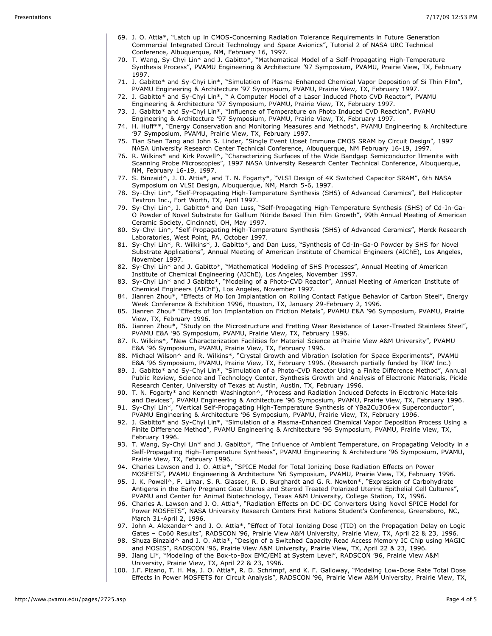- 69. J. O. Attia\*, "Latch up in CMOS-Concerning Radiation Tolerance Requirements in Future Generation Commercial Integrated Circuit Technology and Space Avionics", Tutorial 2 of NASA URC Technical Conference, Albuquerque, NM, February 16, 1997.
- 70. T. Wang, Sy-Chyi Lin\* and J. Gabitto\*, "Mathematical Model of a Self-Propagating High-Temperature Synthesis Process", PVAMU Engineering & Architecture '97 Symposium, PVAMU, Prairie View, TX, February 1997.
- 71. J. Gabitto\* and Sy-Chyi Lin\*, "Simulation of Plasma-Enhanced Chemical Vapor Deposition of Si Thin Film", PVAMU Engineering & Architecture '97 Symposium, PVAMU, Prairie View, TX, February 1997.
- 72. J. Gabitto\* and Sy-Chyi Lin\*, " A Computer Model of a Laser Induced Photo CVD Reactor", PVAMU Engineering & Architecture '97 Symposium, PVAMU, Prairie View, TX, February 1997.
- 73. J. Gabitto\* and Sy-Chyi Lin\*, "Influence of Temperature on Photo Induced CVD Reaction", PVAMU Engineering & Architecture '97 Symposium, PVAMU, Prairie View, TX, February 1997.
- 74. H. Huff\*\*, "Energy Conservation and Monitoring Measures and Methods", PVAMU Engineering & Architecture '97 Symposium, PVAMU, Prairie View, TX, February 1997.
- 75. Tian Shen Tang and John S. Linder, "Single Event Upset Immune CMOS SRAM by Circuit Design", 1997 NASA University Research Center Technical Conference, Albuquerque, NM February 16-19, 1997.
- 76. R. Wilkins\* and Kirk Powell^, "Characterizing Surfaces of the Wide Bandgap Semiconductor Ilmenite with Scanning Probe Microscopies", 1997 NASA University Research Center Technical Conference, Albuquerque, NM, February 16-19, 1997.
- 77. S. Binzaid^, J. O. Attia\*, and T. N. Fogarty\*, "VLSI Design of 4K Switched Capacitor SRAM", 6th NASA Symposium on VLSI Design, Albuquerque, NM, March 5-6, 1997.
- 78. Sy-Chyi Lin\*, "Self-Propagating High-Temperature Synthesis (SHS) of Advanced Ceramics", Bell Helicopter Textron Inc., Fort Worth, TX, April 1997.
- 79. Sy-Chyi Lin\*, J. Gabitto\* and Dan Luss, "Self-Propagating High-Temperature Synthesis (SHS) of Cd-In-Ga-O Powder of Novel Substrate for Gallium Nitride Based Thin Film Growth", 99th Annual Meeting of American Ceramic Society, Cincinnati, OH, May 1997.
- 80. Sy-Chyi Lin\*, "Self-Propagating High-Temperature Synthesis (SHS) of Advanced Ceramics", Merck Research Laboratories, West Point, PA, October 1997.
- 81. Sy-Chyi Lin\*, R. Wilkins\*, J. Gabitto\*, and Dan Luss, "Synthesis of Cd-In-Ga-O Powder by SHS for Novel Substrate Applications", Annual Meeting of American Institute of Chemical Engineers (AIChE), Los Angeles, November 1997.
- 82. Sy-Chyi Lin\* and J. Gabitto\*, "Mathematical Modeling of SHS Processes", Annual Meeting of American Institute of Chemical Engineering (AIChE), Los Angeles, November 1997.
- 83. Sy-Chyi Lin\* and J Gabitto\*, "Modeling of a Photo-CVD Reactor", Annual Meeting of American Institute of Chemical Engineers (AIChE), Los Angeles, November 1997.
- 84. Jianren Zhou\*, "Effects of Mo Ion Implantation on Rolling Contact Fatigue Behavior of Carbon Steel", Energy Week Conference & Exhibition 1996, Houston, TX, January 29-February 2, 1996.
- 85. Jianren Zhou\* "Effects of Ion Implantation on Friction Metals", PVAMU E&A '96 Symposium, PVAMU, Prairie View, TX, February 1996.
- 86. Jianren Zhou\*, "Study on the Microstructure and Fretting Wear Resistance of Laser-Treated Stainless Steel", PVAMU E&A '96 Symposium, PVAMU, Prairie View, TX, February 1996.
- 87. R. Wilkins\*, "New Characterization Facilities for Material Science at Prairie View A&M University", PVAMU E&A '96 Symposium, PVAMU, Prairie View, TX, February 1996.
- 88. Michael Wilson<sup>^</sup> and R. Wilkins\*, "Crystal Growth and Vibration Isolation for Space Experiments", PVAMU E&A '96 Symposium, PVAMU, Prairie View, TX, February 1996. (Research partially funded by TRW Inc.)
- 89. J. Gabitto\* and Sy-Chyi Lin\*, "Simulation of a Photo-CVD Reactor Using a Finite Difference Method", Annual Public Review, Science and Technology Center, Synthesis Growth and Analysis of Electronic Materials, Pickle Research Center, University of Texas at Austin, Austin, TX, February 1996.
- 90. T. N. Fogarty\* and Kenneth Washington^, "Process and Radiation Induced Defects in Electronic Materials and Devices", PVAMU Engineering & Architecture '96 Symposium, PVAMU, Prairie View, TX, February 1996.
- 91. Sy-Chyi Lin\*, "Vertical Self-Propagating High-Temperature Synthesis of YBa2Cu3O6+x Superconductor", PVAMU Engineering & Architecture '96 Symposium, PVAMU, Prairie View, TX, February 1996.
- 92. J. Gabitto\* and Sy-Chyi Lin\*, "Simulation of a Plasma-Enhanced Chemical Vapor Deposition Process Using a Finite Difference Method", PVAMU Engineering & Architecture '96 Symposium, PVAMU, Prairie View, TX, February 1996.
- 93. T. Wang, Sy-Chyi Lin\* and J. Gabitto\*, "The Influence of Ambient Temperature, on Propagating Velocity in a Self-Propagating High-Temperature Synthesis", PVAMU Engineering & Architecture '96 Symposium, PVAMU, Prairie View, TX, February 1996.
- 94. Charles Lawson and J. O. Attia\*, "SPICE Model for Total Ionizing Dose Radiation Effects on Power MOSFETS", PVAMU Engineering & Architecture '96 Symposium, PVAMU, Prairie View, TX, February 1996.
- 95. J. K. Powell^, F. Limar, S. R. Glasser, R. D. Burghardt and G. R. Newton\*, "Expression of Carbohydrate Antigens in the Early Pregnant Goat Uterus and Steroid Treated Polarized Uterine Epithelial Cell Cultures", PVAMU and Center for Animal Biotechnology, Texas A&M University, College Station, TX, 1996.
- 96. Charles A. Lawson and J. O. Attia\*, "Radiation Effects on DC-DC Converters Using Novel SPICE Model for Power MOSFETS", NASA University Research Centers First Nations Student's Conference, Greensboro, NC, March 31-April 2, 1996.
- 97. John A. Alexander^ and J. O. Attia\*, "Effect of Total Ionizing Dose (TID) on the Propagation Delay on Logic Gates – Co60 Results", RADSCON '96, Prairie View A&M University, Prairie View, TX, April 22 & 23, 1996.
- 98. Shuza Binzaid^ and J. O. Attia\*, "Design of a Switched Capacity Read Access Memory IC Chip using MAGIC and MOSIS", RADSCON '96, Prairie View A&M University, Prairie View, TX, April 22 & 23, 1996.
- 99. Jiang Li\*, "Modeling of the Box-to-Box EMC/EMI at System Level", RADSCON '96, Prairie View A&M University, Prairie View, TX, April 22 & 23, 1996.
- 100. J.F. Pizano, T. H. Ma, J. O. Attia\*, R. D. Schrimpf, and K. F. Galloway, "Modeling Low-Dose Rate Total Dose Effects in Power MOSFETS for Circuit Analysis", RADSCON '96, Prairie View A&M University, Prairie View, TX,